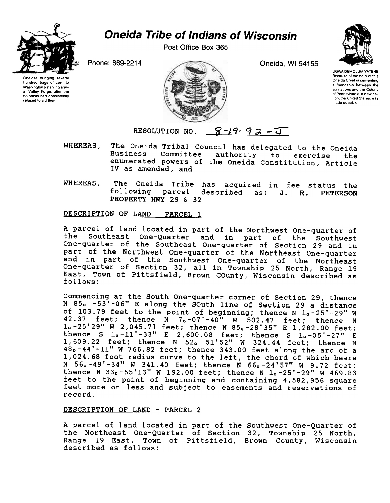

## **Oneida Tribe of Indians of Wisconsin**

Post Office Box 365

Oneida, WI 54155



tion, the United States, was

Oneidas bringing several hundred bags of corn to Washington's starving army at Valley Forge, after the colonists had consistently

refused to aid them

Phone: 869-2214



UGWA DEMOLUM YATEHE Because of the help of this Oneida Chief in cementing a friendship between the six nations and the Colony of Pennsylvania, a new na

made possible.

RESOLUTION NO.  $8-19-92-1$ 

- WHEREAS, The Oneida Tribal Council has delegated to the Oneida Business Committee authority to exercise the enumerated powers of the Oneida Constitution, Article IV as amended, and
- WHEREAS, The Oneida Tribe has acquired in fee status the following parcel described as: J. R. PETERSON PROPERTY HWY 29 & 32

## DESCRIPTION OF LAND - PARCEL 1

A parcel of land located in part of the Northwest One-quarter of the Southeast One-Quarter and in part of the Southwest<br>One-quarter of the Southeast One-quarter of Section 29 and in part of the Northwest One-quarter of the Northeast One-quarter and in part of the Southwest One-quarter of the Northeast One-quarter of Section 32, all in Township 25 North, Range 19 East, Town of Pittsfield, Brown COunty, Wisconsin described as follows:

Commencing at the South One-quarter corner of Section 29, thence N 85. -53'-06" E along the SOuth line of Section 29 a distance of 103.79 feet to the point of beginning; thence N 1.-25'-29" W 42.37 feet; thence  $\overline{N}$  7.-07'-40" W 502.47 feet; thence N 1.-25'29" W 2,045.71 feet; thence N 85.-28'35" E 1,282.00 feet; thence S  $1_0 - 11' - 33''$  E 2,600.08 feet; thence S  $1_0 - 05' - 27''$  E 1,609.22 feet; thence N 52<sub>0</sub> 51'52" W 324.44 feet; thence N 48.-44'-11" W 766.82 feet; thence 343.00 feet along the arc of a 1,024.68 foot radius curve to the left, the chord of which bears N 56<sub>0</sub>-49'-34" W 341.40 feet; thence N 66<sub>0</sub>-24'57" W 9.72 feet;<br>thence N 33<sub>0</sub>-55'13" W 192.00 feet; thence N 1<sub>0</sub>-25'-29" W 469.83 feet to the point of beginning and containing 4,582,956 square feet more or less and subject to easements and reservations of record.

## DESCRIPTION OF LAND - PARCEL 2

A parcel of land located in part of the Southwest One-Quarter of the Northeast One-Quarter of Section 32, Township 25 North, Range 19 East, Town of Pittsfield, Brown County, Wisconsin described as follows: